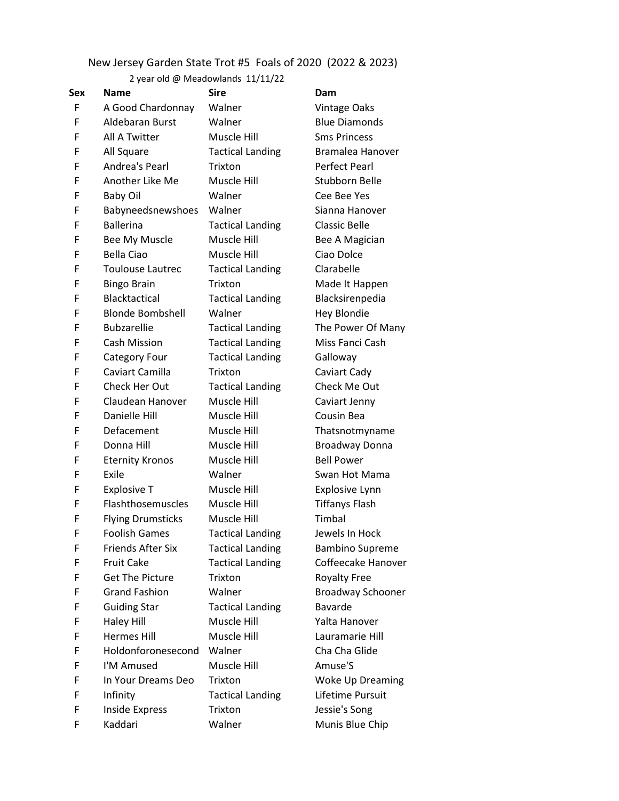## New Jersey Garden State Trot #5 Foals of 2020 (2022 & 2023)

## 2 year old @ Meadowlands 11/11/22

| Sex | <b>Name</b>              | <b>Sire</b>             | Dam                   |
|-----|--------------------------|-------------------------|-----------------------|
| F   | A Good Chardonnay        | Walner                  | <b>Vintage Oaks</b>   |
| F   | <b>Aldebaran Burst</b>   | Walner                  | <b>Blue Diamonds</b>  |
| F   | All A Twitter            | Muscle Hill             | <b>Sms Princess</b>   |
| F   | All Square               | <b>Tactical Landing</b> | <b>Bramalea Hanov</b> |
| F   | Andrea's Pearl           | Trixton                 | <b>Perfect Pearl</b>  |
| F   | Another Like Me          | Muscle Hill             | <b>Stubborn Belle</b> |
| F   | <b>Baby Oil</b>          | Walner                  | Cee Bee Yes           |
| F   | Babyneedsnewshoes        | Walner                  | Sianna Hanover        |
| F   | <b>Ballerina</b>         | <b>Tactical Landing</b> | <b>Classic Belle</b>  |
| F   | Bee My Muscle            | Muscle Hill             | Bee A Magician        |
| F   | <b>Bella Ciao</b>        | Muscle Hill             | Ciao Dolce            |
| F   | <b>Toulouse Lautrec</b>  | <b>Tactical Landing</b> | Clarabelle            |
| F   | <b>Bingo Brain</b>       | Trixton                 | Made It Happen        |
| F   | Blacktactical            | <b>Tactical Landing</b> | Blacksirenpedia       |
| F   | <b>Blonde Bombshell</b>  | Walner                  | <b>Hey Blondie</b>    |
| F   | <b>Bubzarellie</b>       | <b>Tactical Landing</b> | The Power Of Ma       |
| F   | <b>Cash Mission</b>      | <b>Tactical Landing</b> | Miss Fanci Cash       |
| F   | Category Four            | <b>Tactical Landing</b> | Galloway              |
| F   | Caviart Camilla          | Trixton                 | Caviart Cady          |
| F   | Check Her Out            | <b>Tactical Landing</b> | Check Me Out          |
| F   | Claudean Hanover         | Muscle Hill             | Caviart Jenny         |
| F   | Danielle Hill            | Muscle Hill             | Cousin Bea            |
| F   | Defacement               | Muscle Hill             | Thatsnotmynam         |
| F   | Donna Hill               | Muscle Hill             | <b>Broadway Donna</b> |
| F   | <b>Eternity Kronos</b>   | Muscle Hill             | <b>Bell Power</b>     |
| F   | Exile                    | Walner                  | Swan Hot Mama         |
| F   | <b>Explosive T</b>       | Muscle Hill             | Explosive Lynn        |
| F   | Flashthosemuscles        | Muscle Hill             | <b>Tiffanys Flash</b> |
| F   | <b>Flying Drumsticks</b> | Muscle Hill             | Timbal                |
| F   | <b>Foolish Games</b>     | <b>Tactical Landing</b> | Jewels In Hock        |
| F   | <b>Friends After Six</b> | <b>Tactical Landing</b> | <b>Bambino Suprem</b> |
| F   | <b>Fruit Cake</b>        | <b>Tactical Landing</b> | Coffeecake Hand       |
| F   | <b>Get The Picture</b>   | Trixton                 | <b>Royalty Free</b>   |
| F   | <b>Grand Fashion</b>     | Walner                  | <b>Broadway Schoo</b> |
| F   | <b>Guiding Star</b>      | <b>Tactical Landing</b> | <b>Bavarde</b>        |
| F   | <b>Haley Hill</b>        | Muscle Hill             | Yalta Hanover         |
| F   | <b>Hermes Hill</b>       | Muscle Hill             | Lauramarie Hill       |
| F   | Holdonforonesecond       | Walner                  | Cha Cha Glide         |
| F   | I'M Amused               | Muscle Hill             | Amuse'S               |
| F   | In Your Dreams Deo       | Trixton                 | Woke Up Dream         |
| F   | Infinity                 | <b>Tactical Landing</b> | Lifetime Pursuit      |
| F   | Inside Express           | Trixton                 | Jessie's Song         |
| F   | Kaddari                  | Walner                  | Munis Blue Chip       |

Vintage Oaks Blue Diamonds **Sms Princess** Bramalea Hanover Perfect Pearl Stubborn Belle Cee Bee Yes Sianna Hanover Classic Belle Bee A Magician Ciao Dolce Clarabelle Made It Happen Blacksirenpedia Hey Blondie The Power Of Many Miss Fanci Cash Galloway Caviart Cady Check Me Out Caviart Jenny Cousin Bea Thatsnotmyname Broadway Donna **Bell Power** Swan Hot Mama Explosive Lynn Tiffanys Flash Jewels In Hock Bambino Supreme Coffeecake Hanover Royalty Free Broadway Schooner Bavarde Yalta Hanover Lauramarie Hill Cha Cha Glide Amuse'S Woke Up Dreaming Lifetime Pursuit Jessie's Song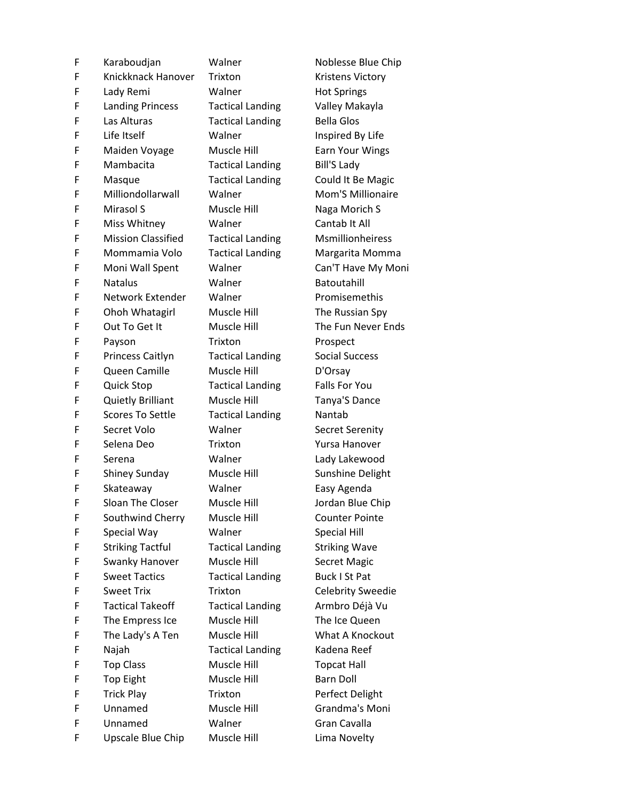| F | Karaboudjan               | Walner              |
|---|---------------------------|---------------------|
| F | Knickknack Hanover        | Trixton             |
| F | Lady Remi                 | Walner              |
| F | <b>Landing Princess</b>   | <b>Tactical Lar</b> |
| F | Las Alturas               | <b>Tactical Lar</b> |
| F | Life Itself               | Walner              |
| F | Maiden Voyage             | Muscle Hill         |
| F | Mambacita                 | <b>Tactical Lar</b> |
| F | Masque                    | <b>Tactical Lar</b> |
| F | Milliondollarwall         | Walner              |
| F | Mirasol S                 | Muscle Hill         |
| F | Miss Whitney              | Walner              |
| F | <b>Mission Classified</b> | <b>Tactical Lar</b> |
| F | Mommamia Volo             | <b>Tactical Lar</b> |
| F | Moni Wall Spent           | Walner              |
| F | <b>Natalus</b>            | Walner              |
| F | Network Extender          | Walner              |
| F | Ohoh Whatagirl            | Muscle Hill         |
| F | Out To Get It             | Muscle Hill         |
| F | Payson                    | Trixton             |
| F | Princess Caitlyn          | <b>Tactical Lar</b> |
| F | Queen Camille             | Muscle Hill         |
| F | <b>Quick Stop</b>         | <b>Tactical Lar</b> |
| F | <b>Quietly Brilliant</b>  | Muscle Hill         |
| F | <b>Scores To Settle</b>   | <b>Tactical Lar</b> |
| F | Secret Volo               | Walner              |
| F | Selena Deo                | Trixton             |
| F | Serena                    | Walner              |
| F | Shiney Sunday             | Muscle Hill         |
| F | Skateaway                 | Walner              |
| F | <b>Sloan The Closer</b>   | Muscle Hill         |
| F | Southwind Cherry          | Muscle Hill         |
| F | Special Way               | Walner              |
| F | <b>Striking Tactful</b>   | <b>Tactical Lar</b> |
| F | <b>Swanky Hanover</b>     | Muscle Hill         |
| F | <b>Sweet Tactics</b>      | <b>Tactical Lar</b> |
| F | <b>Sweet Trix</b>         | <b>Trixton</b>      |
| F | <b>Tactical Takeoff</b>   | <b>Tactical Lar</b> |
| F | The Empress Ice           | Muscle Hill         |
| F | The Lady's A Ten          | Muscle Hill         |
| F | Najah                     | <b>Tactical Lar</b> |
| F | <b>Top Class</b>          | Muscle Hill         |
| F | <b>Top Eight</b>          | Muscle Hill         |
| F | <b>Trick Play</b>         | Trixton             |
| F | Unnamed                   | Muscle Hill         |
| F | Unnamed                   | Walner              |
| F | Upscale Blue Chip         | Muscle Hill         |

Noblesse Blue Chip Kristens Victory Hot Springs nding **Valley Makayla** nding Bella Glos Inspired By Life Earn Your Wings nding Bill'S Lady nding Could It Be Magic Mom'S Millionaire Naga Morich S Cantab It All nding Msmillionheiress nding Margarita Momma Can'T Have My Moni **Batoutahill** Promisemethis The Russian Spy The Fun Never Ends Prospect nding Social Success D'Orsay nding Falls For You Tanya'S Dance nding Nantab Secret Serenity Yursa Hanover Lady Lakewood Sunshine Delight Easy Agenda Jordan Blue Chip Counter Pointe Special Hill nding Striking Wave Secret Magic nding Buck I St Pat Celebrity Sweedie nding Armbro Déjà Vu The Ice Queen What A Knockout nding Kadena Reef Topcat Hall Barn Doll Perfect Delight Grandma's Moni Gran Cavalla Lima Novelty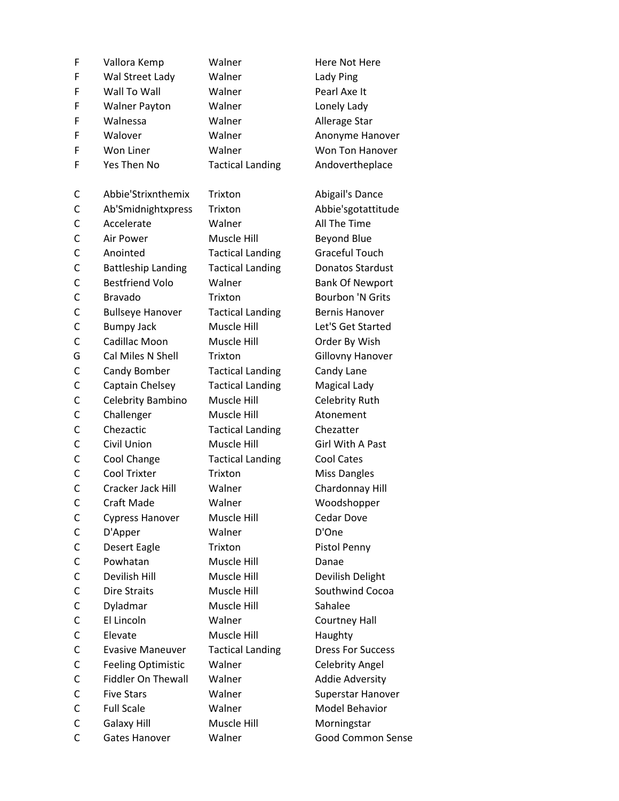| F            | Vallora Kemp              | Walner                  | Here Not Here            |
|--------------|---------------------------|-------------------------|--------------------------|
| F            | Wal Street Lady           | Walner                  | Lady Ping                |
| F            | Wall To Wall              | Walner                  | Pearl Axe It             |
| F            | <b>Walner Payton</b>      | Walner                  | Lonely Lady              |
| F            | Walnessa                  | Walner                  | Allerage Star            |
| F            | Walover                   | Walner                  | Anonyme Hanover          |
| F            | Won Liner                 | Walner                  | Won Ton Hanover          |
| F            | Yes Then No               | <b>Tactical Landing</b> | Andovertheplace          |
|              |                           |                         |                          |
| C            | Abbie'Strixnthemix        | Trixton                 | Abigail's Dance          |
| С            | Ab'Smidnightxpress        | Trixton                 | Abbie'sgotattitude       |
| С            | Accelerate                | Walner                  | All The Time             |
| C            | Air Power                 | Muscle Hill             | <b>Beyond Blue</b>       |
| C            | Anointed                  | <b>Tactical Landing</b> | <b>Graceful Touch</b>    |
| С            | <b>Battleship Landing</b> | <b>Tactical Landing</b> | <b>Donatos Stardust</b>  |
| С            | <b>Bestfriend Volo</b>    | Walner                  | <b>Bank Of Newport</b>   |
| С            | <b>Bravado</b>            | Trixton                 | <b>Bourbon 'N Grits</b>  |
| C            | <b>Bullseye Hanover</b>   | <b>Tactical Landing</b> | <b>Bernis Hanover</b>    |
| C            | <b>Bumpy Jack</b>         | Muscle Hill             | Let'S Get Started        |
| C            | Cadillac Moon             | Muscle Hill             | Order By Wish            |
| G            | Cal Miles N Shell         | Trixton                 | Gillovny Hanover         |
| С            | Candy Bomber              | <b>Tactical Landing</b> | Candy Lane               |
| C            | Captain Chelsey           | <b>Tactical Landing</b> | Magical Lady             |
| С            | Celebrity Bambino         | Muscle Hill             | Celebrity Ruth           |
| C            | Challenger                | Muscle Hill             | Atonement                |
| C            | Chezactic                 | <b>Tactical Landing</b> | Chezatter                |
| C            | Civil Union               | Muscle Hill             | <b>Girl With A Past</b>  |
| C            | Cool Change               | <b>Tactical Landing</b> | Cool Cates               |
| С            | Cool Trixter              | Trixton                 | <b>Miss Dangles</b>      |
| C            | Cracker Jack Hill         | Walner                  | Chardonnay Hill          |
| $\mathsf{C}$ | Craft Made                | Walner                  | Woodshopper              |
| C            | <b>Cypress Hanover</b>    | Muscle Hill             | Cedar Dove               |
| C            | D'Apper                   | Walner                  | D'One                    |
| С            | Desert Eagle              | Trixton                 | Pistol Penny             |
| C            | Powhatan                  | Muscle Hill             | Danae                    |
| С            | Devilish Hill             | Muscle Hill             | Devilish Delight         |
| C            | <b>Dire Straits</b>       | Muscle Hill             | Southwind Cocoa          |
| С            | Dyladmar                  | Muscle Hill             | Sahalee                  |
| С            | El Lincoln                | Walner                  | Courtney Hall            |
| С            | Elevate                   | Muscle Hill             | Haughty                  |
| С            | <b>Evasive Maneuver</b>   | <b>Tactical Landing</b> | <b>Dress For Success</b> |
| С            | <b>Feeling Optimistic</b> | Walner                  | <b>Celebrity Angel</b>   |
| С            | <b>Fiddler On Thewall</b> | Walner                  | <b>Addie Adversity</b>   |
| С            | <b>Five Stars</b>         | Walner                  | Superstar Hanover        |
| С            | <b>Full Scale</b>         | Walner                  | <b>Model Behavior</b>    |
| C            | Galaxy Hill               | Muscle Hill             | Morningstar              |
| C            | Gates Hanover             | Walner                  | <b>Good Common Sense</b> |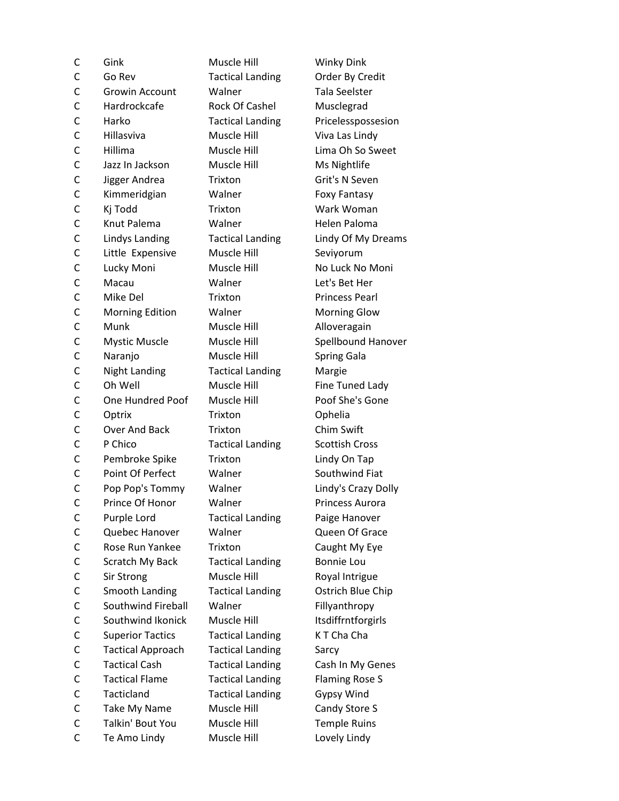| С              | Gink                     | Muscle Hill             | Wink            |
|----------------|--------------------------|-------------------------|-----------------|
| C              | Go Rev                   | <b>Tactical Landing</b> | Order           |
| $\mathsf{C}$   | <b>Growin Account</b>    | Walner                  | Tala 9          |
| $\mathsf{C}$   | Hardrockcafe             | Rock Of Cashel          | Musc            |
| $\mathsf{C}$   | Harko                    | <b>Tactical Landing</b> | Pricel          |
| $\overline{C}$ | Hillasviva               | Muscle Hill             | Viva I          |
| C              | Hillima                  | Muscle Hill             | Lima            |
| $\mathsf{C}$   | Jazz In Jackson          | Muscle Hill             | Ms <sub>N</sub> |
| C              | Jigger Andrea            | Trixton                 | Grit's          |
| $\overline{C}$ | Kimmeridgian             | Walner                  | Foxy            |
| C              | Kj Todd                  | Trixton                 | Wark            |
| $\mathsf{C}$   | Knut Palema              | Walner                  | Heler           |
| $\mathsf{C}$   | Lindys Landing           | <b>Tactical Landing</b> | Lindy           |
| C              | Little Expensive         | Muscle Hill             | Seviy           |
| $\mathsf{C}$   | Lucky Moni               | Muscle Hill             | No Lu           |
| C              | Macau                    | Walner                  | Let's           |
| $\mathsf{C}$   | Mike Del                 | Trixton                 | Princ           |
| $\mathsf{C}$   | <b>Morning Edition</b>   | Walner                  | Morn            |
| $\mathsf{C}$   | Munk                     | Muscle Hill             | <b>Allov</b>    |
| $\mathsf{C}$   | <b>Mystic Muscle</b>     | Muscle Hill             | Spell           |
| C              | Naranjo                  | Muscle Hill             | Sprin           |
| $\overline{C}$ | <b>Night Landing</b>     | <b>Tactical Landing</b> | Marg            |
| $\mathsf{C}$   | Oh Well                  | Muscle Hill             | Fine 1          |
| $\mathsf{C}$   | One Hundred Poof         | Muscle Hill             | Poof            |
| $\mathsf{C}$   | Optrix                   | Trixton                 | Ophe            |
| C              | Over And Back            | Trixton                 | Chim            |
| $\mathsf{C}$   | P Chico                  | <b>Tactical Landing</b> | Scott           |
| $\mathsf{C}$   | Pembroke Spike           | Trixton                 | Lindy           |
| $\mathsf{C}$   | Point Of Perfect         | Walner                  | South           |
| C              | Pop Pop's Tommy          | Walner                  | Lindy           |
| C              | Prince Of Honor          | Walner                  | Princ           |
| С              | Purple Lord              | <b>Tactical Landing</b> | Paige           |
| C              | Quebec Hanover           | Walner                  | Quee            |
| C              | Rose Run Yankee          | Trixton                 | Caugl           |
| C              | Scratch My Back          | <b>Tactical Landing</b> | Bonn            |
| C              | Sir Strong               | Muscle Hill             | Royal           |
| C              | Smooth Landing           | <b>Tactical Landing</b> | Ostrio          |
| C              | Southwind Fireball       | Walner                  | Fillya          |
| $\mathsf{C}$   | Southwind Ikonick        | Muscle Hill             | Itsdif          |
| C              | <b>Superior Tactics</b>  | <b>Tactical Landing</b> | <b>KTCI</b>     |
| $\mathsf{C}$   | <b>Tactical Approach</b> | <b>Tactical Landing</b> | Sarcy           |
| C              | <b>Tactical Cash</b>     | <b>Tactical Landing</b> | Cash            |
| C              | <b>Tactical Flame</b>    | <b>Tactical Landing</b> | Flami           |
| C              | Tacticland               | <b>Tactical Landing</b> | Gypsy           |
| C              | Take My Name             | Muscle Hill             | Cand            |
| C              | Talkin' Bout You         | Muscle Hill             | Temp            |
| C              | Te Amo Lindy             | Muscle Hill             | Lovel           |

Winky Dink g Order By Credit Tala Seelster Musclegrad g Pricelesspossesion Viva Las Lindy Lima Oh So Sweet **Ms Nightlife** Grit's N Seven Foxy Fantasy Wark Woman Helen Paloma g Lindy Of My Dreams Seviyorum No Luck No Moni Let's Bet Her Princess Pearl **Morning Glow** Alloveragain Spellbound Hanover Spring Gala g Margie Fine Tuned Lady Poof She's Gone Ophelia Chim Swift g Scottish Cross Lindy On Tap Southwind Fiat Lindy's Crazy Dolly Princess Aurora g Paige Hanover Queen Of Grace Caught My Eye g Bonnie Lou Royal Intrigue g Ostrich Blue Chip Fillyanthropy Itsdiffrntforgirls g K T Cha Cha g Cash In My Genes g Flaming Rose S g Gypsy Wind Candy Store S Temple Ruins Lovely Lindy